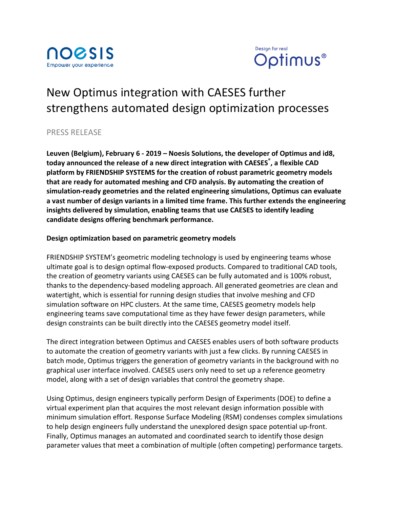



# New Optimus integration with CAESES further strengthens automated design optimization processes

# PRESS RELEASE

Leuven (Belgium), February 6 - 2019 – Noesis Solutions, the developer of Optimus and id8, today announced the release of a new direct integration with CAESES<sup>®</sup>, a flexible CAD platform by FRIENDSHIP SYSTEMS for the creation of robust parametric geometry models that are ready for automated meshing and CFD analysis. By automating the creation of simulation-ready geometries and the related engineering simulations, Optimus can evaluate a vast number of design variants in a limited time frame. This further extends the engineering insights delivered by simulation, enabling teams that use CAESES to identify leading **candidate designs offering benchmark performance.**

## Design optimization based on parametric geometry models

FRIENDSHIP SYSTEM's geometric modeling technology is used by engineering teams whose ultimate goal is to design optimal flow-exposed products. Compared to traditional CAD tools, the creation of geometry variants using CAESES can be fully automated and is 100% robust, thanks to the dependency-based modeling approach. All generated geometries are clean and watertight, which is essential for running design studies that involve meshing and CFD simulation software on HPC clusters. At the same time, CAESES geometry models help engineering teams save computational time as they have fewer design parameters, while design constraints can be built directly into the CAESES geometry model itself.

The direct integration between Optimus and CAESES enables users of both software products to automate the creation of geometry variants with just a few clicks. By running CAESES in batch mode, Optimus triggers the generation of geometry variants in the background with no graphical user interface involved. CAESES users only need to set up a reference geometry model, along with a set of design variables that control the geometry shape.

Using Optimus, design engineers typically perform Design of Experiments (DOE) to define a virtual experiment plan that acquires the most relevant design information possible with minimum simulation effort. Response Surface Modeling (RSM) condenses complex simulations to help design engineers fully understand the unexplored design space potential up-front. Finally, Optimus manages an automated and coordinated search to identify those design parameter values that meet a combination of multiple (often competing) performance targets.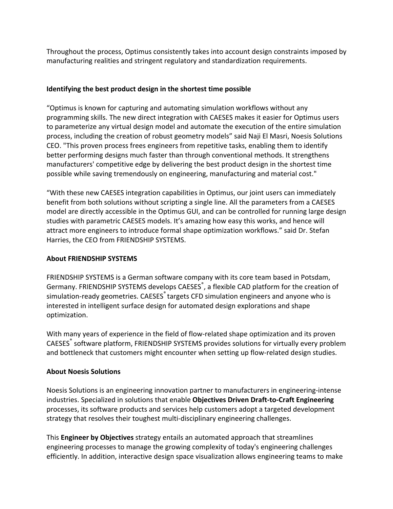Throughout the process, Optimus consistently takes into account design constraints imposed by manufacturing realities and stringent regulatory and standardization requirements.

#### **Identifying the best product design in the shortest time possible**

"Optimus is known for capturing and automating simulation workflows without any programming skills. The new direct integration with CAESES makes it easier for Optimus users to parameterize any virtual design model and automate the execution of the entire simulation process, including the creation of robust geometry models" said Naji El Masri, Noesis Solutions CEO. "This proven process frees engineers from repetitive tasks, enabling them to identify better performing designs much faster than through conventional methods. It strengthens manufacturers' competitive edge by delivering the best product design in the shortest time possible while saving tremendously on engineering, manufacturing and material cost."

"With these new CAESES integration capabilities in Optimus, our joint users can immediately benefit from both solutions without scripting a single line. All the parameters from a CAESES model are directly accessible in the Optimus GUI, and can be controlled for running large design studies with parametric CAESES models. It's amazing how easy this works, and hence will attract more engineers to introduce formal shape optimization workflows." said Dr. Stefan Harries, the CEO from FRIENDSHIP SYSTEMS.

#### **About FRIENDSHIP SYSTEMS**

FRIENDSHIP SYSTEMS is a German software company with its core team based in Potsdam, Germany. FRIENDSHIP SYSTEMS develops CAESES<sup>®</sup>, a flexible CAD platform for the creation of simulation-ready geometries. CAESES targets CFD simulation engineers and anyone who is interested in intelligent surface design for automated design explorations and shape optimization.

With many years of experience in the field of flow-related shape optimization and its proven CAESES<sup>®</sup> software platform, FRIENDSHIP SYSTEMS provides solutions for virtually every problem and bottleneck that customers might encounter when setting up flow-related design studies.

## **About Noesis Solutions**

Noesis Solutions is an engineering innovation partner to manufacturers in engineering-intense industries. Specialized in solutions that enable **Objectives Driven Draft-to-Craft Engineering** processes, its software products and services help customers adopt a targeted development strategy that resolves their toughest multi-disciplinary engineering challenges.

This **Engineer by Objectives** strategy entails an automated approach that streamlines engineering processes to manage the growing complexity of today's engineering challenges efficiently. In addition, interactive design space visualization allows engineering teams to make